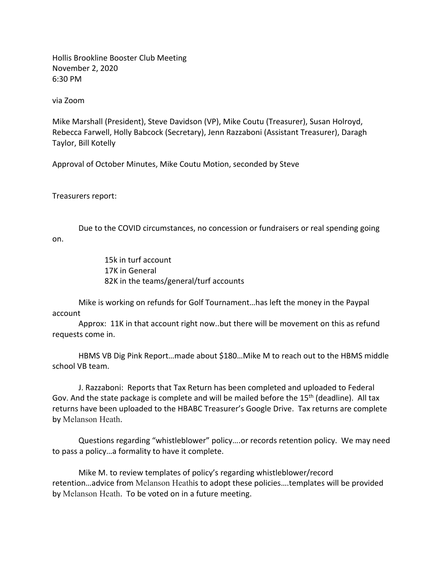Hollis Brookline Booster Club Meeting November 2, 2020 6:30 PM

via Zoom

Mike Marshall (President), Steve Davidson (VP), Mike Coutu (Treasurer), Susan Holroyd, Rebecca Farwell, Holly Babcock (Secretary), Jenn Razzaboni (Assistant Treasurer), Daragh Taylor, Bill Kotelly

Approval of October Minutes, Mike Coutu Motion, seconded by Steve

Treasurers report:

Due to the COVID circumstances, no concession or fundraisers or real spending going on.

> 15k in turf account 17K in General 82K in the teams/general/turf accounts

Mike is working on refunds for Golf Tournament…has left the money in the Paypal account

Approx: 11K in that account right now..but there will be movement on this as refund requests come in.

HBMS VB Dig Pink Report…made about \$180…Mike M to reach out to the HBMS middle school VB team.

J. Razzaboni: Reports that Tax Return has been completed and uploaded to Federal Gov. And the state package is complete and will be mailed before the  $15<sup>th</sup>$  (deadline). All tax returns have been uploaded to the HBABC Treasurer's Google Drive. Tax returns are complete by Melanson Heath.

Questions regarding "whistleblower" policy….or records retention policy. We may need to pass a policy…a formality to have it complete.

Mike M. to review templates of policy's regarding whistleblower/record retention…advice from Melanson Heathis to adopt these policies….templates will be provided by Melanson Heath. To be voted on in a future meeting.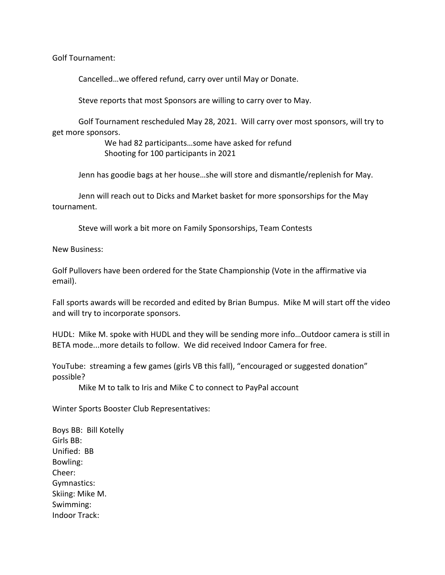Golf Tournament:

Cancelled…we offered refund, carry over until May or Donate.

Steve reports that most Sponsors are willing to carry over to May.

Golf Tournament rescheduled May 28, 2021. Will carry over most sponsors, will try to get more sponsors.

> We had 82 participants…some have asked for refund Shooting for 100 participants in 2021

Jenn has goodie bags at her house…she will store and dismantle/replenish for May.

Jenn will reach out to Dicks and Market basket for more sponsorships for the May tournament.

Steve will work a bit more on Family Sponsorships, Team Contests

New Business:

Golf Pullovers have been ordered for the State Championship (Vote in the affirmative via email).

Fall sports awards will be recorded and edited by Brian Bumpus. Mike M will start off the video and will try to incorporate sponsors.

HUDL: Mike M. spoke with HUDL and they will be sending more info…Outdoor camera is still in BETA mode...more details to follow. We did received Indoor Camera for free.

YouTube: streaming a few games (girls VB this fall), "encouraged or suggested donation" possible?

Mike M to talk to Iris and Mike C to connect to PayPal account

Winter Sports Booster Club Representatives:

Boys BB: Bill Kotelly Girls BB: Unified: BB Bowling: Cheer: Gymnastics: Skiing: Mike M. Swimming: Indoor Track: